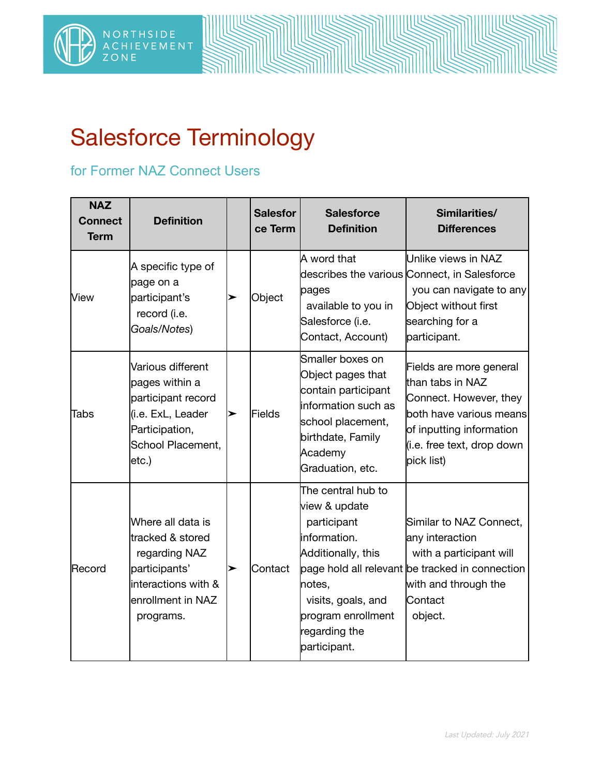

## Salesforce Terminology

## for Former NAZ Connect Users

| <b>NAZ</b><br><b>Connect</b><br><b>Term</b> | <b>Definition</b>                                                                                                                | <b>Salesfor</b><br>ce Term | <b>Salesforce</b><br><b>Definition</b>                                                                                                                                          | Similarities/<br><b>Differences</b>                                                                                                                                      |
|---------------------------------------------|----------------------------------------------------------------------------------------------------------------------------------|----------------------------|---------------------------------------------------------------------------------------------------------------------------------------------------------------------------------|--------------------------------------------------------------------------------------------------------------------------------------------------------------------------|
| View                                        | A specific type of<br>page on a<br>participant's<br>record (i.e.<br>Goals/Notes)                                                 | Object                     | A word that<br>pages<br>available to you in<br>Salesforce (i.e.<br>Contact, Account)                                                                                            | Unlike views in NAZ<br>describes the various Connect, in Salesforce<br>you can navigate to any<br>Object without first<br>searching for a<br>participant.                |
| Tabs                                        | Various different<br>pages within a<br>participant record<br>(i.e. ExL, Leader<br>Participation,<br>School Placement,<br> etc.   | Fields                     | Smaller boxes on<br>Object pages that<br>contain participant<br><b>l</b> information such as<br>school placement,<br>birthdate, Family<br>Academy<br>Graduation, etc.           | Fields are more general<br>than tabs in NAZ<br>Connect. However, they<br>both have various means<br>of inputting information<br>(i.e. free text, drop down<br>pick list) |
| Record                                      | Where all data is<br>tracked & stored<br>regarding NAZ<br>participants'<br>interactions with &<br>enrollment in NAZ<br>programs. | Contact                    | The central hub to<br>view & update<br>participant<br>information.<br>Additionally, this<br>notes,<br>visits, goals, and<br>program enrollment<br>regarding the<br>participant. | Similar to NAZ Connect,<br>any interaction<br>with a participant will<br>page hold all relevant be tracked in connection<br>with and through the<br>Contact<br>object.   |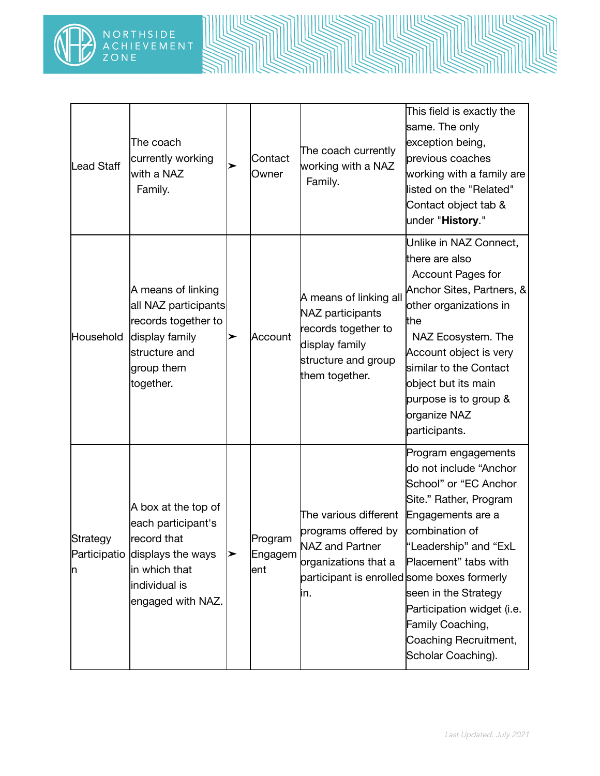

| Lead Staff                    | The coach<br>currently working<br>with a NAZ<br>Family.                                                                              | Contact<br>Owner           | The coach currently<br>working with a NAZ<br>Family.                                                                                          | This field is exactly the<br>same. The only<br>exception being,<br>previous coaches<br>working with a family are<br>listed on the "Related"<br>Contact object tab &<br>under "History."                                                                                                                           |
|-------------------------------|--------------------------------------------------------------------------------------------------------------------------------------|----------------------------|-----------------------------------------------------------------------------------------------------------------------------------------------|-------------------------------------------------------------------------------------------------------------------------------------------------------------------------------------------------------------------------------------------------------------------------------------------------------------------|
| Household                     | A means of linking<br>all NAZ participants<br>records together to<br>display family<br>structure and<br>group them<br>together.      | Account                    | A means of linking all<br>NAZ participants<br>records together to<br>display family<br>structure and group<br>them together.                  | Unlike in NAZ Connect,<br>there are also<br>Account Pages for<br>Anchor Sites, Partners, &<br>other organizations in<br>the<br>NAZ Ecosystem. The<br>Account object is very<br>similar to the Contact<br>object but its main<br>purpose is to group &<br>organize NAZ<br>participants.                            |
| Strategy<br>Participatio<br>n | A box at the top of<br>each participant's<br>record that<br>displays the ways<br>in which that<br>individual is<br>engaged with NAZ. | Program<br>Engagem<br>lent | The various different<br>programs offered by<br>NAZ and Partner<br>organizations that a<br>participant is enrolled some boxes formerly<br>in. | Program engagements<br>do not include "Anchor<br>School" or "EC Anchor<br>Site." Rather, Program<br>Engagements are a<br>combination of<br>"Leadership" and "ExL<br>Placement" tabs with<br>seen in the Strategy<br>Participation widget (i.e.<br>Family Coaching,<br>Coaching Recruitment,<br>Scholar Coaching). |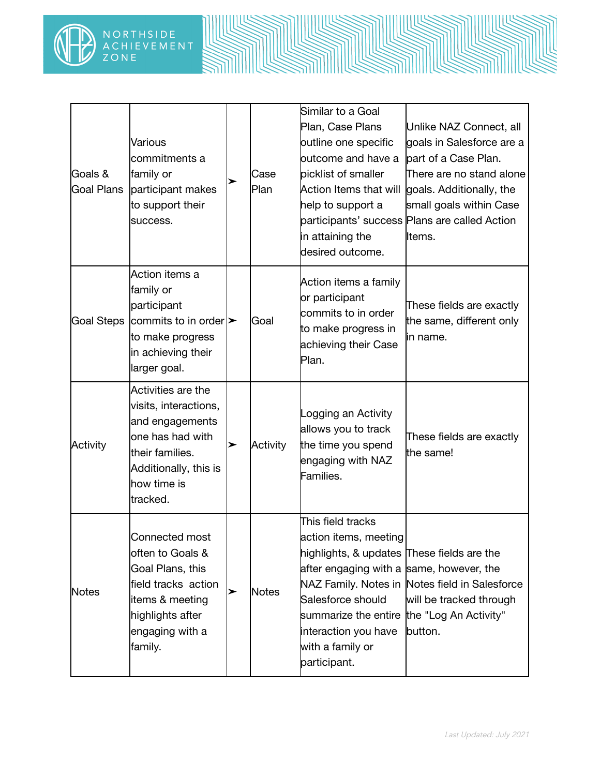

| Goals &<br>Goal Plans | Various<br>commitments a<br>family or<br>participant makes<br>to support their<br>success.                                                                |   | Case<br>Plan | Similar to a Goal<br>Plan, Case Plans<br>outline one specific<br>outcome and have a<br>picklist of smaller<br>Action Items that will<br>help to support a<br>in attaining the<br>desired outcome.                                             | Unlike NAZ Connect, all<br>goals in Salesforce are a<br>part of a Case Plan.<br>There are no stand alone<br>goals. Additionally, the<br>small goals within Case<br>participants' success Plans are called Action<br>lltems. |
|-----------------------|-----------------------------------------------------------------------------------------------------------------------------------------------------------|---|--------------|-----------------------------------------------------------------------------------------------------------------------------------------------------------------------------------------------------------------------------------------------|-----------------------------------------------------------------------------------------------------------------------------------------------------------------------------------------------------------------------------|
|                       | Action items a<br>family or<br>participant<br>Goal Steps $ $ commits to in order $ $ ><br>to make progress<br>in achieving their<br>larger goal.          |   | lGoal        | Action items a family<br>or participant<br>commits to in order<br>to make progress in<br>achieving their Case<br>Plan.                                                                                                                        | These fields are exactly<br>the same, different only<br>lin name.                                                                                                                                                           |
| Activity              | Activities are the<br>visits, interactions,<br>and engagements<br>one has had with<br>their families.<br>Additionally, this is<br>how time is<br>tracked. | ➤ | Activity     | Logging an Activity<br>allows you to track<br>the time you spend<br>engaging with NAZ<br>Families.                                                                                                                                            | These fields are exactly<br>the same!                                                                                                                                                                                       |
| <b>Notes</b>          | Connected most<br>often to Goals &<br>Goal Plans, this<br>field tracks action<br>items & meeting<br>highlights after<br>engaging with a<br>family.        | ➤ | <b>Notes</b> | This field tracks<br>action items, meeting<br>highlights, & updates These fields are the<br>after engaging with a same, however, the<br>Salesforce should<br>summarize the entire<br>interaction you have<br>with a family or<br>participant. | NAZ Family. Notes in Notes field in Salesforce<br>will be tracked through<br>the "Log An Activity"<br>button.                                                                                                               |